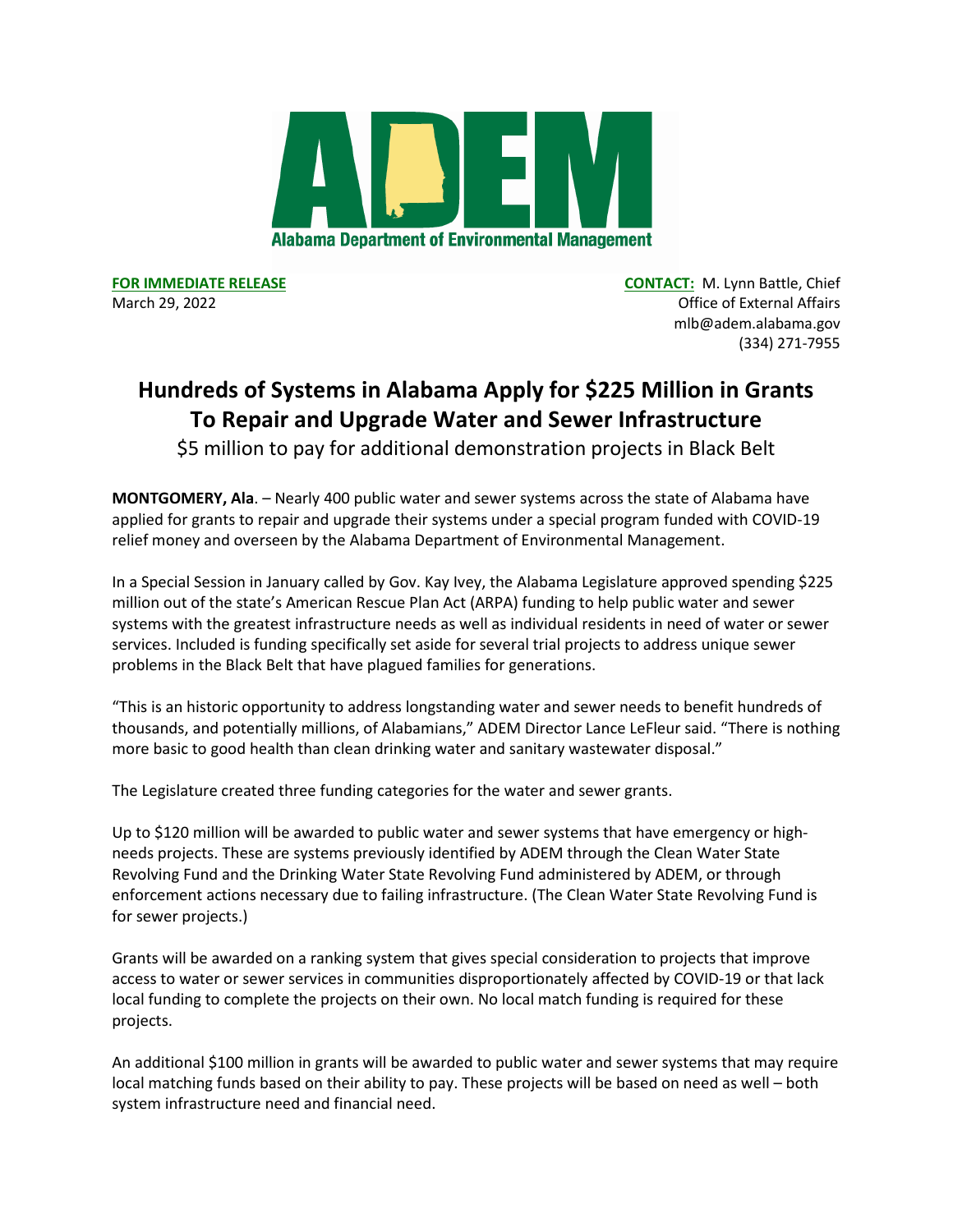

**FOR IMMEDIATE RELEASE CONTACT:** M. Lynn Battle, Chief March 29, 2022 **Office of External Affairs** Office of External Affairs mlb@adem.alabama.gov (334) 271-7955

## **Hundreds of Systems in Alabama Apply for \$225 Million in Grants To Repair and Upgrade Water and Sewer Infrastructure**

\$5 million to pay for additional demonstration projects in Black Belt

**MONTGOMERY, Ala**. – Nearly 400 public water and sewer systems across the state of Alabama have applied for grants to repair and upgrade their systems under a special program funded with COVID-19 relief money and overseen by the Alabama Department of Environmental Management.

In a Special Session in January called by Gov. Kay Ivey, the Alabama Legislature approved spending \$225 million out of the state's American Rescue Plan Act (ARPA) funding to help public water and sewer systems with the greatest infrastructure needs as well as individual residents in need of water or sewer services. Included is funding specifically set aside for several trial projects to address unique sewer problems in the Black Belt that have plagued families for generations.

"This is an historic opportunity to address longstanding water and sewer needs to benefit hundreds of thousands, and potentially millions, of Alabamians," ADEM Director Lance LeFleur said. "There is nothing more basic to good health than clean drinking water and sanitary wastewater disposal."

The Legislature created three funding categories for the water and sewer grants.

Up to \$120 million will be awarded to public water and sewer systems that have emergency or highneeds projects. These are systems previously identified by ADEM through the Clean Water State Revolving Fund and the Drinking Water State Revolving Fund administered by ADEM, or through enforcement actions necessary due to failing infrastructure. (The Clean Water State Revolving Fund is for sewer projects.)

Grants will be awarded on a ranking system that gives special consideration to projects that improve access to water or sewer services in communities disproportionately affected by COVID-19 or that lack local funding to complete the projects on their own. No local match funding is required for these projects.

An additional \$100 million in grants will be awarded to public water and sewer systems that may require local matching funds based on their ability to pay. These projects will be based on need as well – both system infrastructure need and financial need.